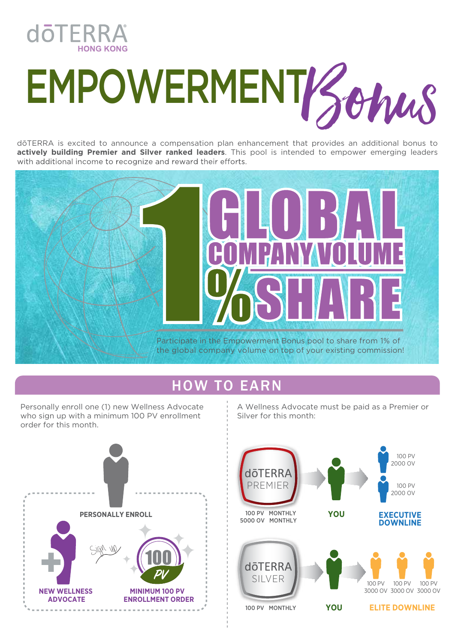

# EMPOWERMENT Bonus

dōTERRA is excited to announce a compensation plan enhancement that provides an additional bonus to **actively building Premier and Silver ranked leaders**. This pool is intended to empower emerging leaders with additional income to recognize and reward their efforts.



### HOW TO EARN

Personally enroll one (1) new Wellness Advocate who sign up with a minimum 100 PV enrollment order for this month.



A Wellness Advocate must be paid as a Premier or Silver for this month: